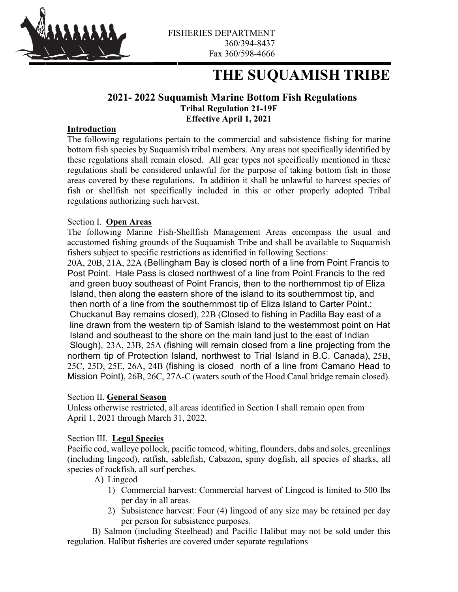

# **THE SUQUAMISH TRIBE**

# **2021- 2022 Suquamish Marine Bottom Fish Regulations Tribal Regulation 21-19F Effective April 1, 2021**

## **Introduction**

The following regulations pertain to the commercial and subsistence fishing for marine bottom fish species by Suquamish tribal members. Any areas not specifically identified by these regulations shall remain closed. All gear types not specifically mentioned in these regulations shall be considered unlawful for the purpose of taking bottom fish in those areas covered by these regulations. In addition it shall be unlawful to harvest species of fish or shellfish not specifically included in this or other properly adopted Tribal regulations authorizing such harvest.

## Section I. **Open Areas**

The following Marine Fish-Shellfish Management Areas encompass the usual and accustomed fishing grounds of the Suquamish Tribe and shall be available to Suquamish fishers subject to specific restrictions as identified in following Sections:

20A, 20B, 21A, 22A (Bellingham Bay is closed north of a line from Point Francis to Post Point. Hale Pass is closed northwest of a line from Point Francis to the red and green buoy southeast of Point Francis, then to the northernmost tip of Eliza Island, then along the eastern shore of the island to its southernmost tip, and then north of a line from the southernmost tip of Eliza Island to Carter Point.; Chuckanut Bay remains closed), 22B (Closed to fishing in Padilla Bay east of a line drawn from the western tip of Samish Island to the westernmost point on Hat Island and southeast to the shore on the main land just to the east of Indian Slough), 23A, 23B, 25A (fishing will remain closed from a line projecting from the northern tip of Protection Island, northwest to Trial Island in B.C. Canada), 25B, 25C, 25D, 25E, 26A, 24B (fishing is closed north of a line from Camano Head to Mission Point), 26B, 26C, 27A-C (waters south of the Hood Canal bridge remain closed).

## Section II. **General Season**

Unless otherwise restricted, all areas identified in Section I shall remain open from April 1, 2021 through March 31, 2022.

## Section III. **Legal Species**

Pacific cod, walleye pollock, pacific tomcod, whiting, flounders, dabs and soles, greenlings (including lingcod), ratfish, sablefish, Cabazon, spiny dogfish, all species of sharks, all species of rockfish, all surf perches.

- A) Lingcod
	- 1) Commercial harvest: Commercial harvest of Lingcod is limited to 500 lbs per day in all areas.
	- 2) Subsistence harvest: Four (4) lingcod of any size may be retained per day per person for subsistence purposes.

 B) Salmon (including Steelhead) and Pacific Halibut may not be sold under this regulation. Halibut fisheries are covered under separate regulations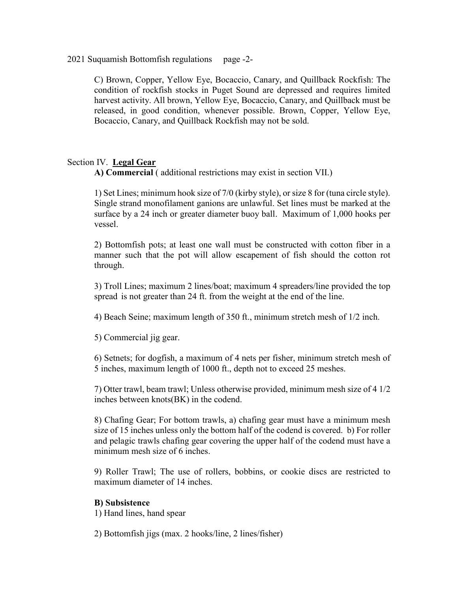## 2021 Suquamish Bottomfish regulations page -2-

C) Brown, Copper, Yellow Eye, Bocaccio, Canary, and Quillback Rockfish: The condition of rockfish stocks in Puget Sound are depressed and requires limited harvest activity. All brown, Yellow Eye, Bocaccio, Canary, and Quillback must be released, in good condition, whenever possible. Brown, Copper, Yellow Eye, Bocaccio, Canary, and Quillback Rockfish may not be sold.

## Section IV. **Legal Gear**

**A) Commercial** ( additional restrictions may exist in section VII.)

1) Set Lines; minimum hook size of 7/0 (kirby style), or size 8 for (tuna circle style). Single strand monofilament ganions are unlawful. Set lines must be marked at the surface by a 24 inch or greater diameter buoy ball. Maximum of 1,000 hooks per vessel.

2) Bottomfish pots; at least one wall must be constructed with cotton fiber in a manner such that the pot will allow escapement of fish should the cotton rot through.

3) Troll Lines; maximum 2 lines/boat; maximum 4 spreaders/line provided the top spread is not greater than 24 ft. from the weight at the end of the line.

4) Beach Seine; maximum length of 350 ft., minimum stretch mesh of 1/2 inch.

5) Commercial jig gear.

6) Setnets; for dogfish, a maximum of 4 nets per fisher, minimum stretch mesh of 5 inches, maximum length of 1000 ft., depth not to exceed 25 meshes.

7) Otter trawl, beam trawl; Unless otherwise provided, minimum mesh size of 4 1/2 inches between knots(BK) in the codend.

8) Chafing Gear; For bottom trawls, a) chafing gear must have a minimum mesh size of 15 inches unless only the bottom half of the codend is covered. b) For roller and pelagic trawls chafing gear covering the upper half of the codend must have a minimum mesh size of 6 inches.

9) Roller Trawl; The use of rollers, bobbins, or cookie discs are restricted to maximum diameter of 14 inches.

## **B) Subsistence**

1) Hand lines, hand spear

2) Bottomfish jigs (max. 2 hooks/line, 2 lines/fisher)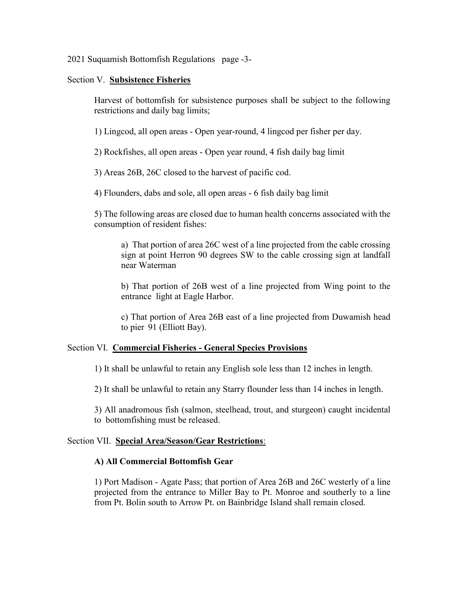## 2021 Suquamish Bottomfish Regulations page -3-

## Section V. **Subsistence Fisheries**

Harvest of bottomfish for subsistence purposes shall be subject to the following restrictions and daily bag limits;

1) Lingcod, all open areas - Open year-round, 4 lingcod per fisher per day.

2) Rockfishes, all open areas - Open year round, 4 fish daily bag limit

3) Areas 26B, 26C closed to the harvest of pacific cod.

4) Flounders, dabs and sole, all open areas - 6 fish daily bag limit

5) The following areas are closed due to human health concerns associated with the consumption of resident fishes:

a) That portion of area 26C west of a line projected from the cable crossing sign at point Herron 90 degrees SW to the cable crossing sign at landfall near Waterman

b) That portion of 26B west of a line projected from Wing point to the entrance light at Eagle Harbor.

c) That portion of Area 26B east of a line projected from Duwamish head to pier 91 (Elliott Bay).

## Section VI. **Commercial Fisheries - General Species Provisions**

1) It shall be unlawful to retain any English sole less than 12 inches in length.

2) It shall be unlawful to retain any Starry flounder less than 14 inches in length.

3) All anadromous fish (salmon, steelhead, trout, and sturgeon) caught incidental to bottomfishing must be released.

## Section VII. **Special Area/Season/Gear Restrictions**:

## **A) All Commercial Bottomfish Gear**

1) Port Madison - Agate Pass; that portion of Area 26B and 26C westerly of a line projected from the entrance to Miller Bay to Pt. Monroe and southerly to a line from Pt. Bolin south to Arrow Pt. on Bainbridge Island shall remain closed.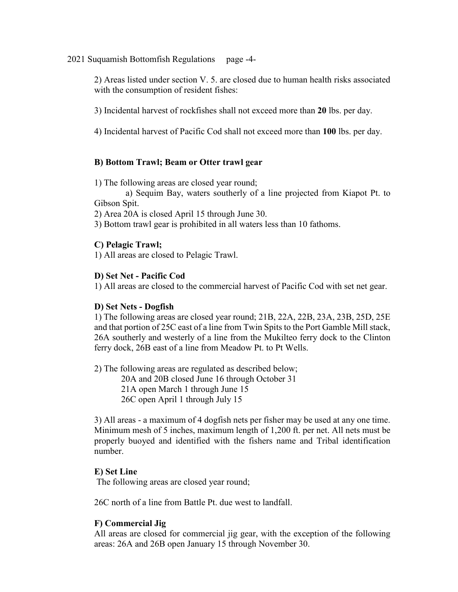2021 Suquamish Bottomfish Regulations page -4-

2) Areas listed under section V. 5. are closed due to human health risks associated with the consumption of resident fishes:

3) Incidental harvest of rockfishes shall not exceed more than **20** lbs. per day.

4) Incidental harvest of Pacific Cod shall not exceed more than **100** lbs. per day.

## **B) Bottom Trawl; Beam or Otter trawl gear**

1) The following areas are closed year round;

 a) Sequim Bay, waters southerly of a line projected from Kiapot Pt. to Gibson Spit.

2) Area 20A is closed April 15 through June 30.

3) Bottom trawl gear is prohibited in all waters less than 10 fathoms.

## **C) Pelagic Trawl;**

1) All areas are closed to Pelagic Trawl.

## **D) Set Net - Pacific Cod**

1) All areas are closed to the commercial harvest of Pacific Cod with set net gear.

## **D) Set Nets - Dogfish**

1) The following areas are closed year round; 21B, 22A, 22B, 23A, 23B, 25D, 25E and that portion of 25C east of a line from Twin Spits to the Port Gamble Mill stack, 26A southerly and westerly of a line from the Mukilteo ferry dock to the Clinton ferry dock, 26B east of a line from Meadow Pt. to Pt Wells.

2) The following areas are regulated as described below; 20A and 20B closed June 16 through October 31 21A open March 1 through June 15 26C open April 1 through July 15

3) All areas - a maximum of 4 dogfish nets per fisher may be used at any one time. Minimum mesh of 5 inches, maximum length of 1,200 ft. per net. All nets must be properly buoyed and identified with the fishers name and Tribal identification number.

## **E) Set Line**

The following areas are closed year round;

26C north of a line from Battle Pt. due west to landfall.

## **F) Commercial Jig**

All areas are closed for commercial jig gear, with the exception of the following areas: 26A and 26B open January 15 through November 30.